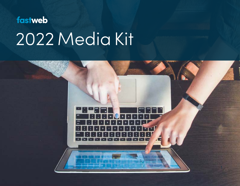# fastweb 2 Media Kit

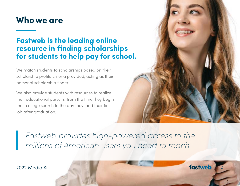#### **Who we are**

#### **Fastweb is the leading online resource in finding scholarships for students to help pay for school.**

We match students to scholarships based on their scholarship profile criteria provided, acting as their personal scholarship finder.

We also provide students with resources to realize their educational pursuits, from the time they begin their college search to the day they land their first job after graduation.

*Fastweb provides high-powered access to the millions of American users you need to reach.*

2022 Media Kit **Alexander States and States and States and States and States and States and States and States and States and States and States and States and States and States and States and States and States and States an**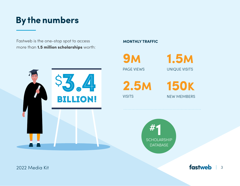## **By the numbers**

Fastweb is the one-stop spot to access more than **1.5 million scholarships** worth:



#### **MONTHLY TRAFFIC**

PAGE VIEWS **9m**

UNIQUE VISITS **1.5 M**

**2.5 M**

**VISITS** 





2022 Media Kit 3 and 2022 Media Kit 3 and 3 and 3 and 3 and 3 and 3 and 3 and 3 and 3 and 3 and 3 and 3 and 3 and 3 and 3 and 3 and 3 and 3 and 3 and 3 and 3 and 3 and 3 and 3 and 3 and 3 and 3 and 3 and 3 and 3 and 3 and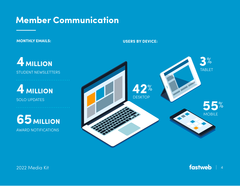#### **Member Communication**

**USERS BY DEVICE MONTHLY EMAILS: USERS BY DEVICE:**

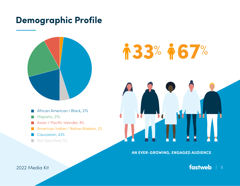#### **Demographic Profile**



- African American / Black, 21%
- Hispanic, 21%
- Asian / Pacific Islander, 8% **College**
- American Indian / Native Alaskan, 2%  $\sim$
- Caucasian, 43%
- Not Specified, 5%



**AN EVER-GROWING, ENGAGED AUDIENCE**

2022 Media Kit **1989 - Andrew Steiner Steiner Steiner Steiner Steiner Steiner Steiner Steiner Steiner Steiner S**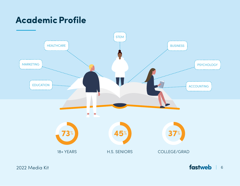## **Academic Profile**



2022 Media Kit **fastweb** 6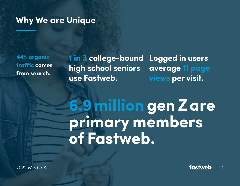#### **Why We are Unique**

**44% organic traffic comes from search.**

**1 in 3 college-bound high school seniors use Fastweb. Logged in users average 11 page views per visit.**

## **6.9 million gen Z are primary members of Fastweb.**

2022 Media Kit **Fastweb** 1 7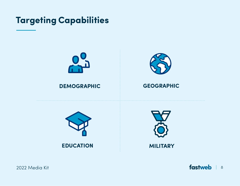**Targeting Capabilities**



**EDUCATION MILITARY**

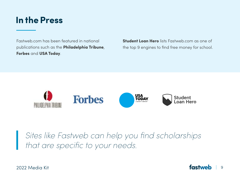#### **In the Press**

Fastweb.com has been featured in national publications such as the **Philadelphia Tribune**, **Forbes** and **USA Today**.

**Student Loan Hero** lists Fastweb.com as one of the top 9 engines to find free money for school.



*Sites like Fastweb can help you find scholarships that are specific to your needs.*